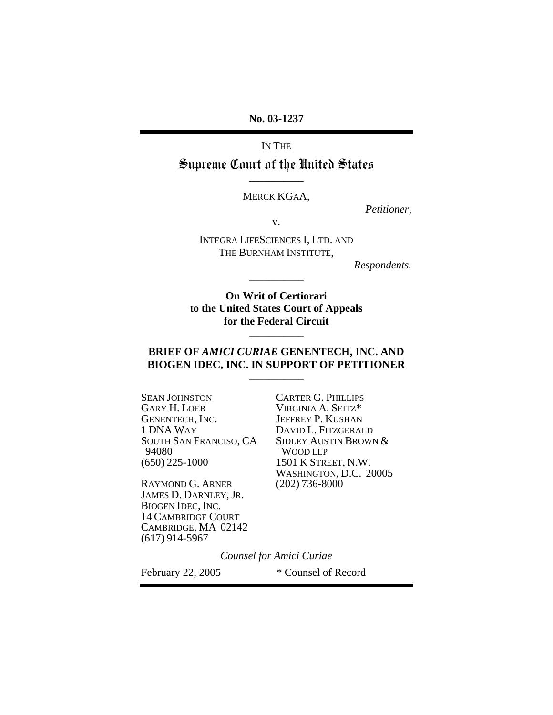**No. 03-1237** 

IN THE

Supreme Court of the United States **\_\_\_\_\_\_\_\_\_\_\_** 

MERCK KGAA,

*Petitioner,* 

v.

INTEGRA LIFESCIENCES I, LTD. AND THE BURNHAM INSTITUTE,

**\_\_\_\_\_\_\_\_\_\_\_** 

*Respondents.* 

**On Writ of Certiorari to the United States Court of Appeals for the Federal Circuit** 

### **BRIEF OF** *AMICI CURIAE* **GENENTECH, INC. AND BIOGEN IDEC, INC. IN SUPPORT OF PETITIONER \_\_\_\_\_\_\_\_\_\_\_**

**\_\_\_\_\_\_\_\_\_\_\_** 

SEAN JOHNSTON CARTER G. PHILLIPS<br>
GARY H. LOEB VIRGINIA A. SEITZ\* GARY H. LOEB VIRGINIA A. SEITZ\* GENENTECH, INC. JEFFREY P. KUSHAN 94080 WOOD LLP<br>(650) 225-1000 1501 K STRE

RAYMOND G. ARNER (202) 736-8000 JAMES D. DARNLEY, JR. BIOGEN IDEC, INC. 14 CAMBRIDGE COURT CAMBRIDGE, MA 02142 (617) 914-5967

DAVID L. FITZGERALD SOUTH SAN FRANCISO, CA SIDLEY AUSTIN BROWN &<br>94080 WOOD LLP 1501 K STREET, N.W. WASHINGTON, D.C. 20005

*Counsel for Amici Curiae* 

February 22, 2005 \* Counsel of Record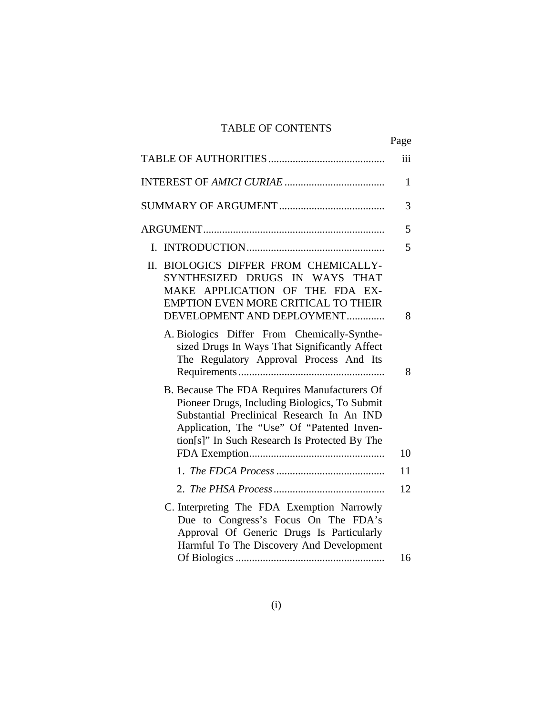# TABLE OF CONTENTS

|                                                                                                                                                                                                                                            | Page         |
|--------------------------------------------------------------------------------------------------------------------------------------------------------------------------------------------------------------------------------------------|--------------|
|                                                                                                                                                                                                                                            | iii          |
|                                                                                                                                                                                                                                            | $\mathbf{1}$ |
|                                                                                                                                                                                                                                            | 3            |
|                                                                                                                                                                                                                                            | 5            |
|                                                                                                                                                                                                                                            | 5            |
| BIOLOGICS DIFFER FROM CHEMICALLY-<br>П.<br>SYNTHESIZED DRUGS IN WAYS THAT<br>MAKE APPLICATION OF THE FDA EX-<br><b>EMPTION EVEN MORE CRITICAL TO THEIR</b><br>DEVELOPMENT AND DEPLOYMENT                                                   | 8            |
| A. Biologics Differ From Chemically-Synthe-<br>sized Drugs In Ways That Significantly Affect<br>The Regulatory Approval Process And Its                                                                                                    | 8            |
| B. Because The FDA Requires Manufacturers Of<br>Pioneer Drugs, Including Biologics, To Submit<br>Substantial Preclinical Research In An IND<br>Application, The "Use" Of "Patented Inven-<br>tion[s]" In Such Research Is Protected By The | 10           |
|                                                                                                                                                                                                                                            | 11           |
|                                                                                                                                                                                                                                            | 12           |
| C. Interpreting The FDA Exemption Narrowly<br>Due to Congress's Focus On The FDA's<br>Approval Of Generic Drugs Is Particularly<br>Harmful To The Discovery And Development                                                                | 16           |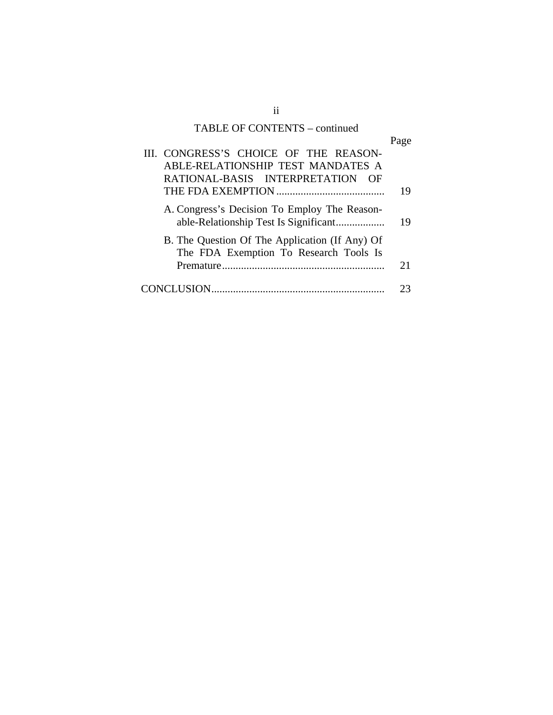# TABLE OF CONTENTS – continued

|                                                | Page |
|------------------------------------------------|------|
| III. CONGRESS'S CHOICE OF THE REASON-          |      |
| ABLE-RELATIONSHIP TEST MANDATES A              |      |
| RATIONAL-BASIS INTERPRETATION<br>OF            |      |
|                                                | 19   |
| A. Congress's Decision To Employ The Reason-   | 19   |
| B. The Question Of The Application (If Any) Of |      |
| The FDA Exemption To Research Tools Is         |      |
|                                                | 21   |
|                                                |      |

ii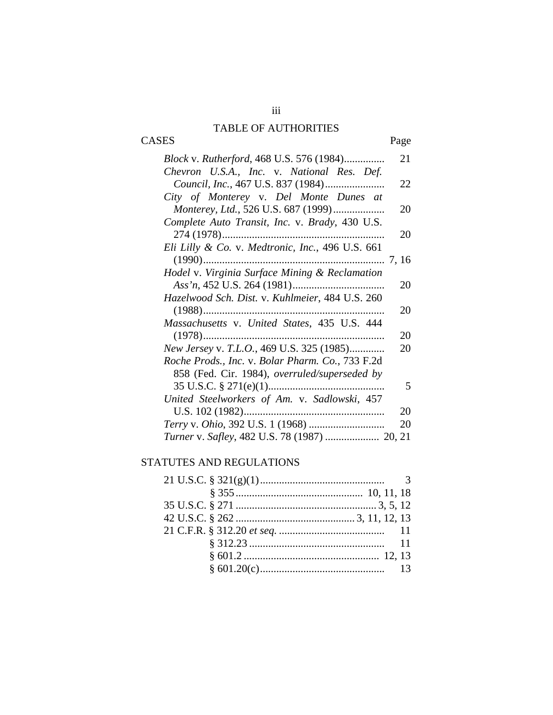# TABLE OF AUTHORITIES

CASES Page

| Block v. Rutherford, 468 U.S. 576 (1984)         | 21 |
|--------------------------------------------------|----|
| Chevron U.S.A., Inc. v. National Res. Def.       |    |
|                                                  | 22 |
| City of Monterey v. Del Monte Dunes at           |    |
| Monterey, Ltd., 526 U.S. 687 (1999)              | 20 |
| Complete Auto Transit, Inc. v. Brady, 430 U.S.   |    |
|                                                  | 20 |
| Eli Lilly & Co. v. Medtronic, Inc., 496 U.S. 661 |    |
|                                                  |    |
| Hodel v. Virginia Surface Mining & Reclamation   |    |
|                                                  | 20 |
| Hazelwood Sch. Dist. v. Kuhlmeier, 484 U.S. 260  |    |
|                                                  | 20 |
| Massachusetts v. United States, 435 U.S. 444     |    |
|                                                  | 20 |
| New Jersey v. T.L.O., 469 U.S. 325 (1985)        | 20 |
| Roche Prods., Inc. v. Bolar Pharm. Co., 733 F.2d |    |
| 858 (Fed. Cir. 1984), overruled/superseded by    |    |
|                                                  | 5  |
| United Steelworkers of Am. v. Sadlowski, 457     |    |
|                                                  | 20 |
|                                                  | 20 |
| Turner v. Safley, 482 U.S. 78 (1987)  20, 21     |    |

# STATUTES AND REGULATIONS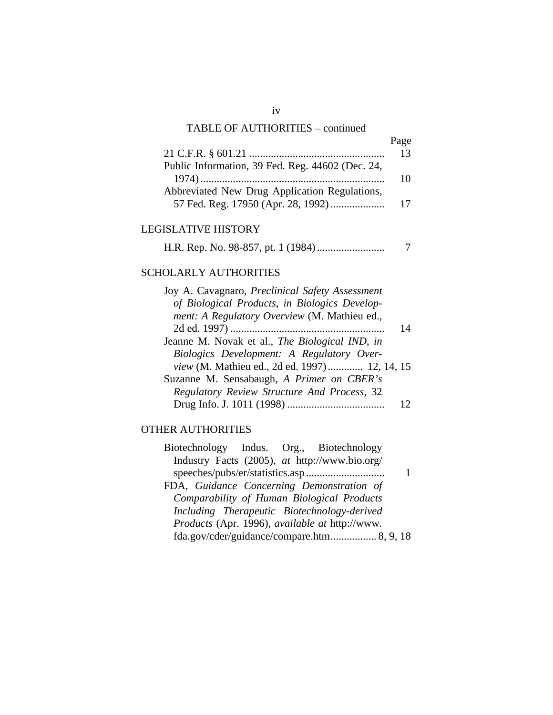## TABLE OF AUTHORITIES – continued

|                                                  | 13 |
|--------------------------------------------------|----|
| Public Information, 39 Fed. Reg. 44602 (Dec. 24, |    |
|                                                  | 10 |
| Abbreviated New Drug Application Regulations,    |    |
|                                                  | 17 |

Page

## LEGISLATIVE HISTORY

H.R. Rep. No. 98-857, pt. 1 (1984) ......................... 7

# SCHOLARLY AUTHORITIES

| Joy A. Cavagnaro, Preclinical Safety Assessment |    |
|-------------------------------------------------|----|
| of Biological Products, in Biologics Develop-   |    |
| ment: A Regulatory Overview (M. Mathieu ed.,    |    |
|                                                 | 14 |
| Jeanne M. Novak et al., The Biological IND, in  |    |
| Biologics Development: A Regulatory Over-       |    |
| view (M. Mathieu ed., 2d ed. 1997) 12, 14, 15   |    |
| Suzanne M. Sensabaugh, A Primer on CBER's       |    |
| Regulatory Review Structure And Process, 32     |    |
|                                                 |    |

# OTHER AUTHORITIES

| Biotechnology Indus. Org., Biotechnology                     |  |  |
|--------------------------------------------------------------|--|--|
| Industry Facts (2005), at http://www.bio.org/                |  |  |
|                                                              |  |  |
| FDA, Guidance Concerning Demonstration of                    |  |  |
| Comparability of Human Biological Products                   |  |  |
| Including Therapeutic Biotechnology-derived                  |  |  |
| <i>Products</i> (Apr. 1996), <i>available at http://www.</i> |  |  |
| fda.gov/cder/guidance/compare.htm 8, 9, 18                   |  |  |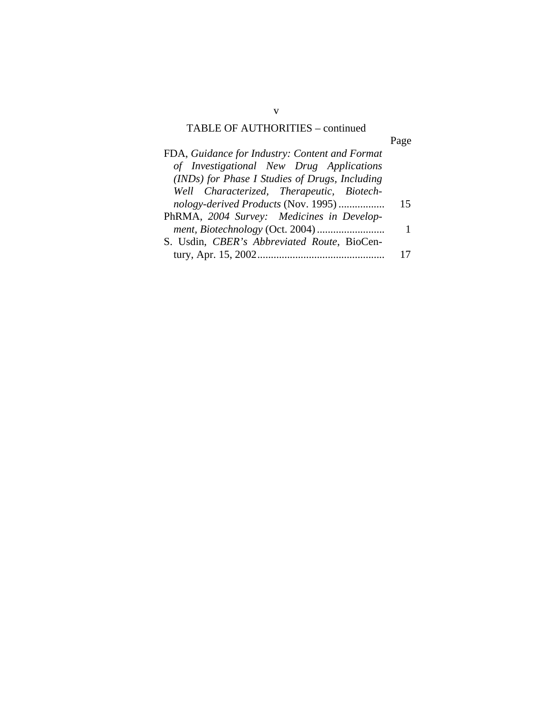# TABLE OF AUTHORITIES – continued

Page

| FDA, Guidance for Industry: Content and Format |    |
|------------------------------------------------|----|
| of Investigational New Drug Applications       |    |
| (INDs) for Phase I Studies of Drugs, Including |    |
| Well Characterized, Therapeutic, Biotech-      |    |
| nology-derived Products (Nov. 1995)            | 15 |
| PhRMA, 2004 Survey: Medicines in Develop-      |    |
|                                                |    |
| S. Usdin, CBER's Abbreviated Route, BioCen-    |    |
|                                                |    |

v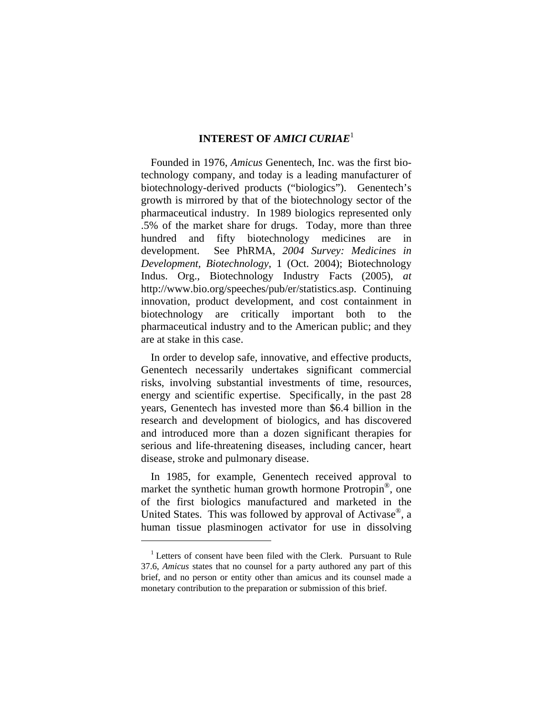#### **INTEREST OF** *AMICI CURIAE*<sup>1</sup>

Founded in 1976, *Amicus* Genentech, Inc. was the first biotechnology company, and today is a leading manufacturer of biotechnology-derived products ("biologics"). Genentech's growth is mirrored by that of the biotechnology sector of the pharmaceutical industry. In 1989 biologics represented only .5% of the market share for drugs. Today, more than three hundred and fifty biotechnology medicines are in development. See PhRMA, *2004 Survey: Medicines in Development, Biotechnology*, 1 (Oct. 2004); Biotechnology Indus. Org., Biotechnology Industry Facts (2005), *at*  http://www.bio.org/speeches/pub/er/statistics.asp. Continuing innovation, product development, and cost containment in biotechnology are critically important both to the pharmaceutical industry and to the American public; and they are at stake in this case.

In order to develop safe, innovative, and effective products, Genentech necessarily undertakes significant commercial risks, involving substantial investments of time, resources, energy and scientific expertise. Specifically, in the past 28 years, Genentech has invested more than \$6.4 billion in the research and development of biologics, and has discovered and introduced more than a dozen significant therapies for serious and life-threatening diseases, including cancer, heart disease, stroke and pulmonary disease.

In 1985, for example, Genentech received approval to market the synthetic human growth hormone Protropin<sup>®</sup>, one of the first biologics manufactured and marketed in the United States. This was followed by approval of Activase®, a human tissue plasminogen activator for use in dissolving

<sup>&</sup>lt;sup>1</sup> Letters of consent have been filed with the Clerk. Pursuant to Rule 37.6, *Amicus* states that no counsel for a party authored any part of this brief, and no person or entity other than amicus and its counsel made a monetary contribution to the preparation or submission of this brief.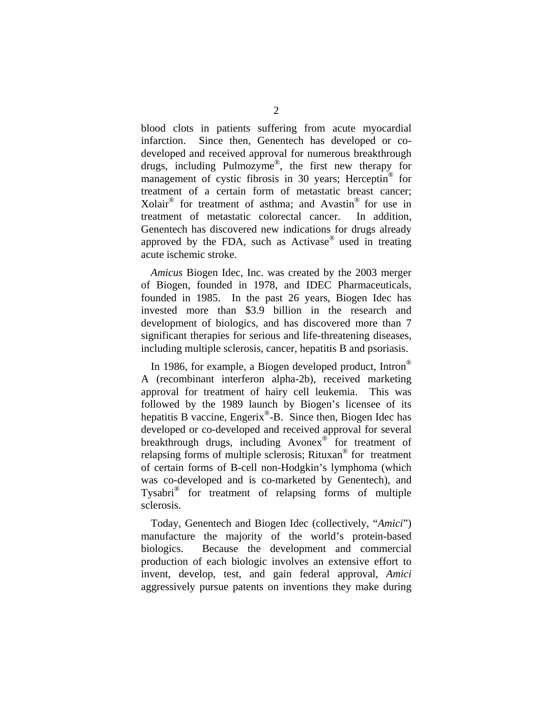blood clots in patients suffering from acute myocardial infarction. Since then, Genentech has developed or codeveloped and received approval for numerous breakthrough drugs, including Pulmozyme®, the first new therapy for management of cystic fibrosis in 30 years; Herceptin® for treatment of a certain form of metastatic breast cancer; Xolair<sup>®</sup> for treatment of asthma; and Avastin<sup>®</sup> for use in treatment of metastatic colorectal cancer. In addition, Genentech has discovered new indications for drugs already approved by the FDA, such as Activase® used in treating acute ischemic stroke.

*Amicus* Biogen Idec, Inc. was created by the 2003 merger of Biogen, founded in 1978, and IDEC Pharmaceuticals, founded in 1985. In the past 26 years, Biogen Idec has invested more than \$3.9 billion in the research and development of biologics, and has discovered more than 7 significant therapies for serious and life-threatening diseases, including multiple sclerosis, cancer, hepatitis B and psoriasis.

In 1986, for example, a Biogen developed product, Intron® A (recombinant interferon alpha-2b), received marketing approval for treatment of hairy cell leukemia. This was followed by the 1989 launch by Biogen's licensee of its hepatitis B vaccine, Engerix<sup>®</sup>-B. Since then, Biogen Idec has developed or co-developed and received approval for several breakthrough drugs, including Avonex<sup>®</sup> for treatment of relapsing forms of multiple sclerosis; Rituxan® for treatment of certain forms of B-cell non-Hodgkin's lymphoma (which was co-developed and is co-marketed by Genentech), and Tysabri® for treatment of relapsing forms of multiple sclerosis.

Today, Genentech and Biogen Idec (collectively, "*Amici*") manufacture the majority of the world's protein-based biologics. Because the development and commercial production of each biologic involves an extensive effort to invent, develop, test, and gain federal approval, *Amici* aggressively pursue patents on inventions they make during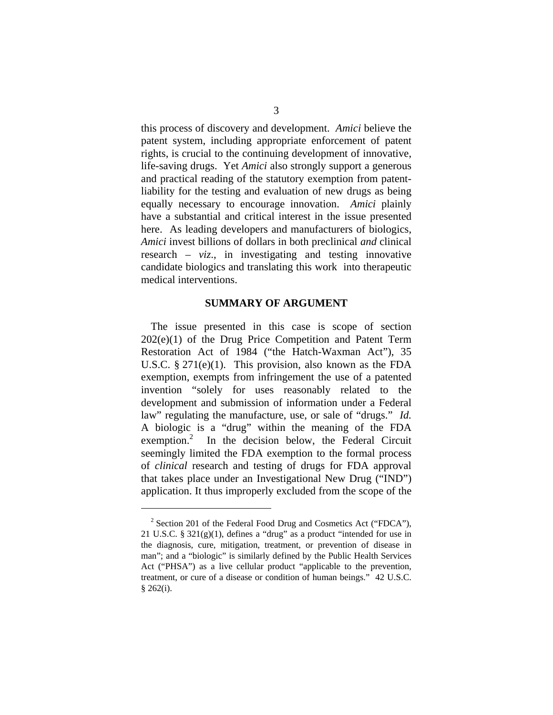this process of discovery and development. *Amici* believe the patent system, including appropriate enforcement of patent rights, is crucial to the continuing development of innovative, life-saving drugs. Yet *Amici* also strongly support a generous and practical reading of the statutory exemption from patentliability for the testing and evaluation of new drugs as being equally necessary to encourage innovation. *Amici* plainly have a substantial and critical interest in the issue presented here. As leading developers and manufacturers of biologics, *Amici* invest billions of dollars in both preclinical *and* clinical research – *viz*., in investigating and testing innovative candidate biologics and translating this work into therapeutic medical interventions.

#### **SUMMARY OF ARGUMENT**

The issue presented in this case is scope of section 202(e)(1) of the Drug Price Competition and Patent Term Restoration Act of 1984 ("the Hatch-Waxman Act"), 35 U.S.C. § 271(e)(1). This provision, also known as the FDA exemption, exempts from infringement the use of a patented invention "solely for uses reasonably related to the development and submission of information under a Federal law" regulating the manufacture, use, or sale of "drugs." *Id.* A biologic is a "drug" within the meaning of the FDA exemption.<sup>2</sup> In the decision below, the Federal Circuit seemingly limited the FDA exemption to the formal process of *clinical* research and testing of drugs for FDA approval that takes place under an Investigational New Drug ("IND") application. It thus improperly excluded from the scope of the

<sup>&</sup>lt;sup>2</sup> Section 201 of the Federal Food Drug and Cosmetics Act ("FDCA"), 21 U.S.C. §  $321(g)(1)$ , defines a "drug" as a product "intended for use in the diagnosis, cure, mitigation, treatment, or prevention of disease in man"; and a "biologic" is similarly defined by the Public Health Services Act ("PHSA") as a live cellular product "applicable to the prevention, treatment, or cure of a disease or condition of human beings." 42 U.S.C.  $§ 262(i).$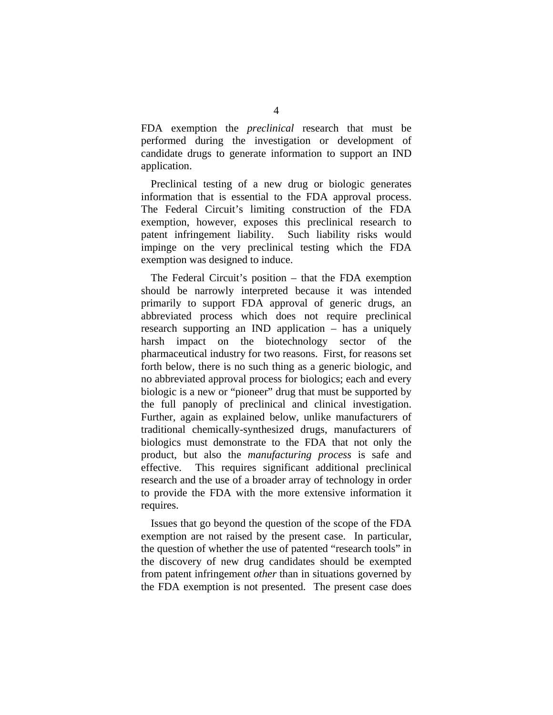FDA exemption the *preclinical* research that must be performed during the investigation or development of candidate drugs to generate information to support an IND application.

Preclinical testing of a new drug or biologic generates information that is essential to the FDA approval process. The Federal Circuit's limiting construction of the FDA exemption, however, exposes this preclinical research to patent infringement liability. Such liability risks would impinge on the very preclinical testing which the FDA exemption was designed to induce.

The Federal Circuit's position – that the FDA exemption should be narrowly interpreted because it was intended primarily to support FDA approval of generic drugs, an abbreviated process which does not require preclinical research supporting an IND application – has a uniquely harsh impact on the biotechnology sector of the pharmaceutical industry for two reasons. First, for reasons set forth below, there is no such thing as a generic biologic, and no abbreviated approval process for biologics; each and every biologic is a new or "pioneer" drug that must be supported by the full panoply of preclinical and clinical investigation. Further, again as explained below, unlike manufacturers of traditional chemically-synthesized drugs, manufacturers of biologics must demonstrate to the FDA that not only the product, but also the *manufacturing process* is safe and effective. This requires significant additional preclinical research and the use of a broader array of technology in order to provide the FDA with the more extensive information it requires.

Issues that go beyond the question of the scope of the FDA exemption are not raised by the present case. In particular, the question of whether the use of patented "research tools" in the discovery of new drug candidates should be exempted from patent infringement *other* than in situations governed by the FDA exemption is not presented. The present case does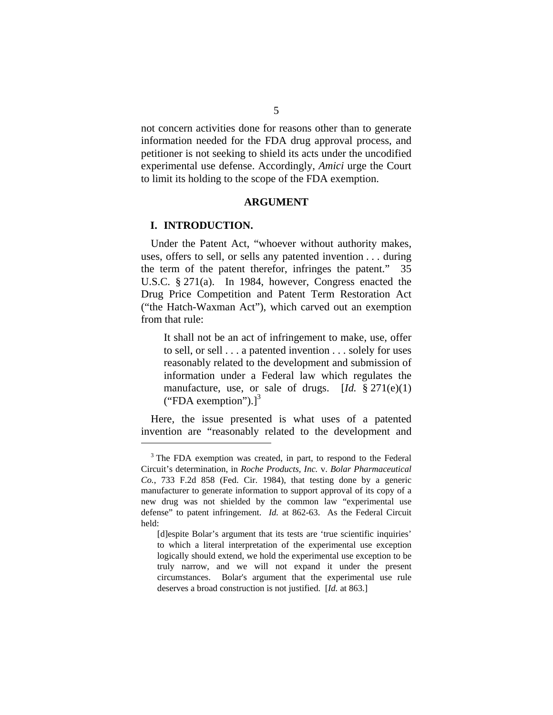not concern activities done for reasons other than to generate information needed for the FDA drug approval process, and petitioner is not seeking to shield its acts under the uncodified experimental use defense. Accordingly, *Amici* urge the Court to limit its holding to the scope of the FDA exemption.

#### **ARGUMENT**

#### **I. INTRODUCTION.**

Under the Patent Act, "whoever without authority makes, uses, offers to sell, or sells any patented invention . . . during the term of the patent therefor, infringes the patent." 35 U.S.C. § 271(a). In 1984, however, Congress enacted the Drug Price Competition and Patent Term Restoration Act ("the Hatch-Waxman Act"), which carved out an exemption from that rule:

It shall not be an act of infringement to make, use, offer to sell, or sell . . . a patented invention . . . solely for uses reasonably related to the development and submission of information under a Federal law which regulates the manufacture, use, or sale of drugs. [*Id.* § 271(e)(1) ("FDA exemption").] $^3$ 

Here, the issue presented is what uses of a patented invention are "reasonably related to the development and  $\overline{a}$ 

<sup>&</sup>lt;sup>3</sup> The FDA exemption was created, in part, to respond to the Federal Circuit's determination, in *Roche Products, Inc.* v. *Bolar Pharmaceutical Co.*, 733 F.2d 858 (Fed. Cir. 1984), that testing done by a generic manufacturer to generate information to support approval of its copy of a new drug was not shielded by the common law "experimental use defense" to patent infringement. *Id.* at 862-63. As the Federal Circuit held:

<sup>[</sup>d]espite Bolar's argument that its tests are 'true scientific inquiries' to which a literal interpretation of the experimental use exception logically should extend, we hold the experimental use exception to be truly narrow, and we will not expand it under the present circumstances. Bolar's argument that the experimental use rule deserves a broad construction is not justified. [*Id.* at 863.]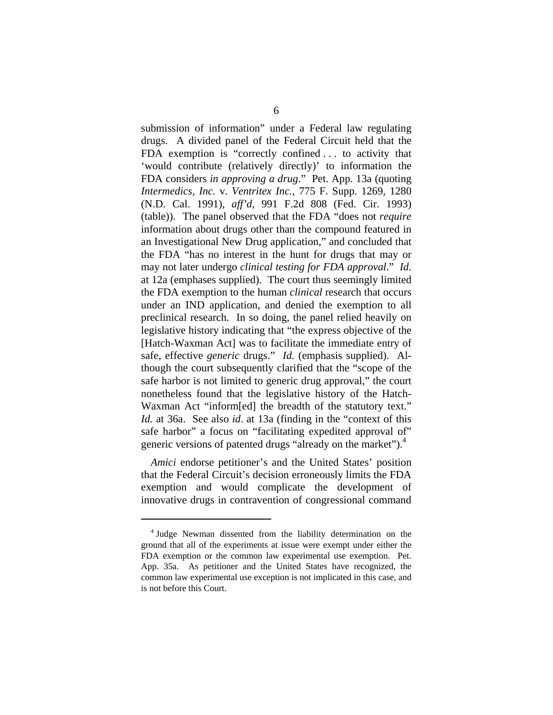submission of information" under a Federal law regulating drugs. A divided panel of the Federal Circuit held that the FDA exemption is "correctly confined . . . to activity that 'would contribute (relatively directly)' to information the FDA considers *in approving a drug*." Pet. App. 13a (quoting *Intermedics, Inc.* v. *Ventritex Inc.*, 775 F. Supp. 1269, 1280 (N.D. Cal. 1991), *aff'd*, 991 F.2d 808 (Fed. Cir. 1993) (table)). The panel observed that the FDA "does not *require* information about drugs other than the compound featured in an Investigational New Drug application," and concluded that the FDA "has no interest in the hunt for drugs that may or may not later undergo *clinical testing for FDA approval*." *Id.* at 12a (emphases supplied). The court thus seemingly limited the FDA exemption to the human *clinical* research that occurs under an IND application, and denied the exemption to all preclinical research. In so doing, the panel relied heavily on legislative history indicating that "the express objective of the [Hatch-Waxman Act] was to facilitate the immediate entry of safe, effective *generic* drugs." *Id.* (emphasis supplied). Although the court subsequently clarified that the "scope of the safe harbor is not limited to generic drug approval," the court nonetheless found that the legislative history of the Hatch-Waxman Act "inform[ed] the breadth of the statutory text." *Id.* at 36a. See also *id*. at 13a (finding in the "context of this safe harbor" a focus on "facilitating expedited approval of" generic versions of patented drugs "already on the market").<sup>4</sup>

*Amici* endorse petitioner's and the United States' position that the Federal Circuit's decision erroneously limits the FDA exemption and would complicate the development of innovative drugs in contravention of congressional command

<sup>&</sup>lt;sup>4</sup> Judge Newman dissented from the liability determination on the ground that all of the experiments at issue were exempt under either the FDA exemption or the common law experimental use exemption. Pet. App. 35a. As petitioner and the United States have recognized, the common law experimental use exception is not implicated in this case, and is not before this Court.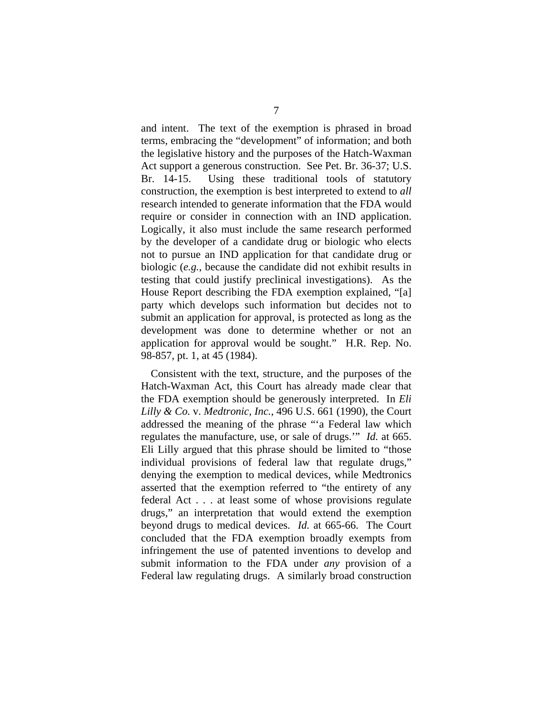and intent. The text of the exemption is phrased in broad terms, embracing the "development" of information; and both the legislative history and the purposes of the Hatch-Waxman Act support a generous construction. See Pet. Br. 36-37; U.S. Br. 14-15. Using these traditional tools of statutory construction, the exemption is best interpreted to extend to *all*  research intended to generate information that the FDA would require or consider in connection with an IND application. Logically, it also must include the same research performed by the developer of a candidate drug or biologic who elects not to pursue an IND application for that candidate drug or biologic (*e.g.*, because the candidate did not exhibit results in testing that could justify preclinical investigations). As the House Report describing the FDA exemption explained, "[a] party which develops such information but decides not to submit an application for approval, is protected as long as the development was done to determine whether or not an application for approval would be sought." H.R. Rep. No. 98-857, pt. 1, at 45 (1984).

Consistent with the text, structure, and the purposes of the Hatch-Waxman Act, this Court has already made clear that the FDA exemption should be generously interpreted. In *Eli Lilly & Co.* v. *Medtronic, Inc.*, 496 U.S. 661 (1990), the Court addressed the meaning of the phrase "'a Federal law which regulates the manufacture, use, or sale of drugs.'" *Id.* at 665. Eli Lilly argued that this phrase should be limited to "those individual provisions of federal law that regulate drugs," denying the exemption to medical devices, while Medtronics asserted that the exemption referred to "the entirety of any federal Act . . . at least some of whose provisions regulate drugs," an interpretation that would extend the exemption beyond drugs to medical devices. *Id.* at 665-66. The Court concluded that the FDA exemption broadly exempts from infringement the use of patented inventions to develop and submit information to the FDA under *any* provision of a Federal law regulating drugs. A similarly broad construction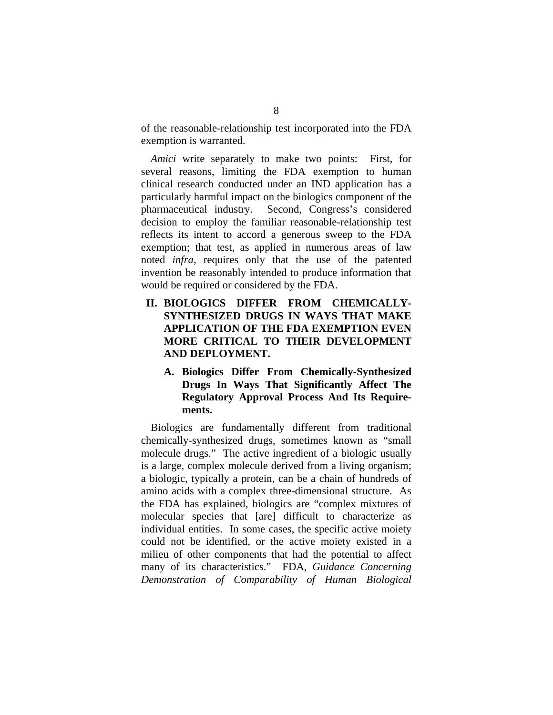of the reasonable-relationship test incorporated into the FDA exemption is warranted.

*Amici* write separately to make two points: First, for several reasons, limiting the FDA exemption to human clinical research conducted under an IND application has a particularly harmful impact on the biologics component of the pharmaceutical industry. Second, Congress's considered decision to employ the familiar reasonable-relationship test reflects its intent to accord a generous sweep to the FDA exemption; that test, as applied in numerous areas of law noted *infra*, requires only that the use of the patented invention be reasonably intended to produce information that would be required or considered by the FDA.

- **II. BIOLOGICS DIFFER FROM CHEMICALLY-SYNTHESIZED DRUGS IN WAYS THAT MAKE APPLICATION OF THE FDA EXEMPTION EVEN MORE CRITICAL TO THEIR DEVELOPMENT AND DEPLOYMENT.** 
	- **A. Biologics Differ From Chemically-Synthesized Drugs In Ways That Significantly Affect The Regulatory Approval Process And Its Requirements.**

Biologics are fundamentally different from traditional chemically-synthesized drugs, sometimes known as "small molecule drugs." The active ingredient of a biologic usually is a large, complex molecule derived from a living organism; a biologic, typically a protein, can be a chain of hundreds of amino acids with a complex three-dimensional structure. As the FDA has explained, biologics are "complex mixtures of molecular species that [are] difficult to characterize as individual entities. In some cases, the specific active moiety could not be identified, or the active moiety existed in a milieu of other components that had the potential to affect many of its characteristics." FDA, *Guidance Concerning Demonstration of Comparability of Human Biological*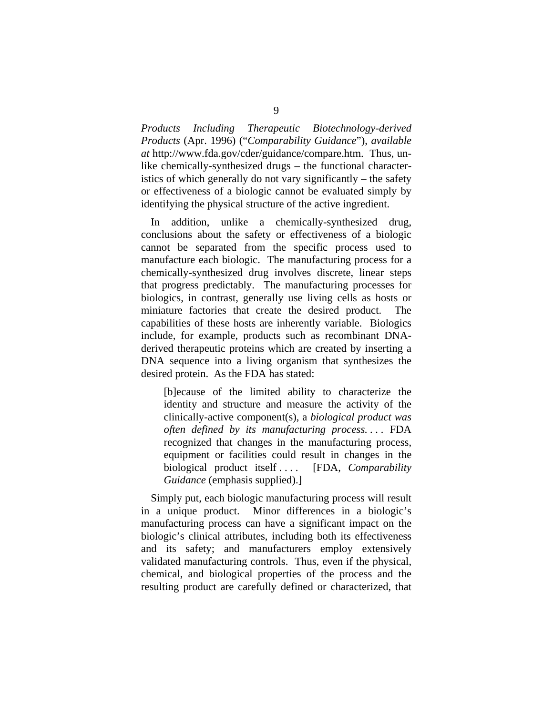*Products Including Therapeutic Biotechnology-derived Products* (Apr. 1996) ("*Comparability Guidance*"), *available at* http://www.fda.gov/cder/guidance/compare.htm. Thus, unlike chemically-synthesized drugs – the functional characteristics of which generally do not vary significantly – the safety or effectiveness of a biologic cannot be evaluated simply by identifying the physical structure of the active ingredient.

In addition, unlike a chemically-synthesized drug, conclusions about the safety or effectiveness of a biologic cannot be separated from the specific process used to manufacture each biologic. The manufacturing process for a chemically-synthesized drug involves discrete, linear steps that progress predictably. The manufacturing processes for biologics, in contrast, generally use living cells as hosts or miniature factories that create the desired product. The capabilities of these hosts are inherently variable. Biologics include, for example, products such as recombinant DNAderived therapeutic proteins which are created by inserting a DNA sequence into a living organism that synthesizes the desired protein. As the FDA has stated:

[b]ecause of the limited ability to characterize the identity and structure and measure the activity of the clinically-active component(s), a *biological product was often defined by its manufacturing process. . . .* FDA recognized that changes in the manufacturing process, equipment or facilities could result in changes in the biological product itself . . . . [FDA, *Comparability Guidance* (emphasis supplied).]

Simply put, each biologic manufacturing process will result in a unique product. Minor differences in a biologic's manufacturing process can have a significant impact on the biologic's clinical attributes, including both its effectiveness and its safety; and manufacturers employ extensively validated manufacturing controls. Thus, even if the physical, chemical, and biological properties of the process and the resulting product are carefully defined or characterized, that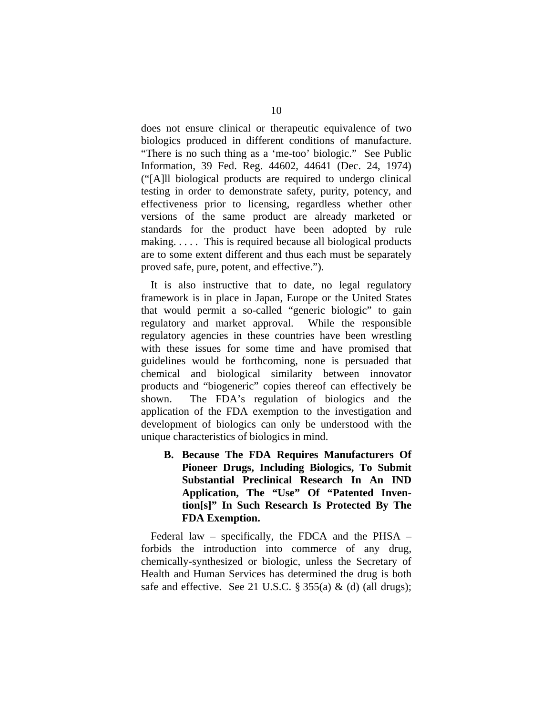does not ensure clinical or therapeutic equivalence of two biologics produced in different conditions of manufacture. "There is no such thing as a 'me-too' biologic." See Public Information, 39 Fed. Reg. 44602, 44641 (Dec. 24, 1974) ("[A]ll biological products are required to undergo clinical testing in order to demonstrate safety, purity, potency, and effectiveness prior to licensing, regardless whether other versions of the same product are already marketed or standards for the product have been adopted by rule making. . . . . This is required because all biological products are to some extent different and thus each must be separately proved safe, pure, potent, and effective.").

It is also instructive that to date, no legal regulatory framework is in place in Japan, Europe or the United States that would permit a so-called "generic biologic" to gain regulatory and market approval. While the responsible regulatory agencies in these countries have been wrestling with these issues for some time and have promised that guidelines would be forthcoming, none is persuaded that chemical and biological similarity between innovator products and "biogeneric" copies thereof can effectively be shown. The FDA's regulation of biologics and the application of the FDA exemption to the investigation and development of biologics can only be understood with the unique characteristics of biologics in mind.

**B. Because The FDA Requires Manufacturers Of Pioneer Drugs, Including Biologics, To Submit Substantial Preclinical Research In An IND Application, The "Use" Of "Patented Invention[s]" In Such Research Is Protected By The FDA Exemption.** 

Federal law – specifically, the FDCA and the PHSA – forbids the introduction into commerce of any drug, chemically-synthesized or biologic, unless the Secretary of Health and Human Services has determined the drug is both safe and effective. See 21 U.S.C.  $\S 355(a) \& (d)$  (all drugs);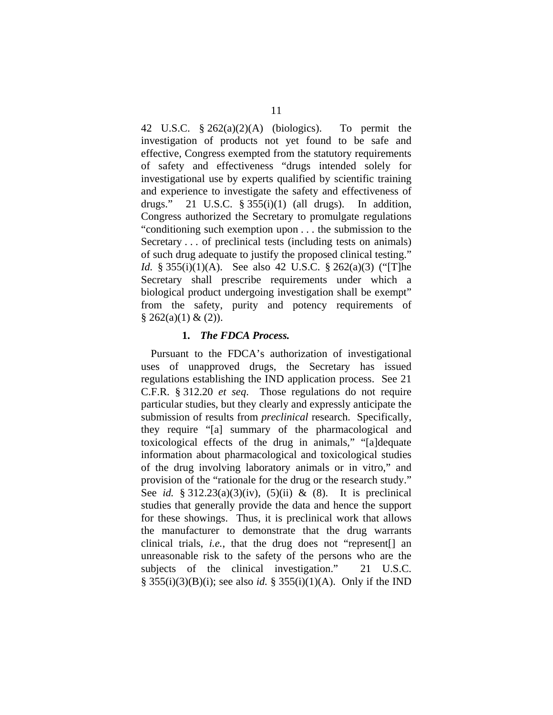42 U.S.C. § 262(a)(2)(A) (biologics). To permit the investigation of products not yet found to be safe and effective, Congress exempted from the statutory requirements of safety and effectiveness "drugs intended solely for investigational use by experts qualified by scientific training and experience to investigate the safety and effectiveness of drugs." 21 U.S.C.  $\S 355(i)(1)$  (all drugs). In addition, Congress authorized the Secretary to promulgate regulations "conditioning such exemption upon . . . the submission to the Secretary . . . of preclinical tests (including tests on animals) of such drug adequate to justify the proposed clinical testing." *Id.* § 355(i)(1)(A). See also 42 U.S.C. § 262(a)(3) ("[T]he Secretary shall prescribe requirements under which a biological product undergoing investigation shall be exempt" from the safety, purity and potency requirements of  $§ 262(a)(1) \& (2)).$ 

#### **1.** *The FDCA Process.*

Pursuant to the FDCA's authorization of investigational uses of unapproved drugs, the Secretary has issued regulations establishing the IND application process. See 21 C.F.R. § 312.20 *et seq*. Those regulations do not require particular studies, but they clearly and expressly anticipate the submission of results from *preclinical* research. Specifically, they require "[a] summary of the pharmacological and toxicological effects of the drug in animals," "[a]dequate information about pharmacological and toxicological studies of the drug involving laboratory animals or in vitro," and provision of the "rationale for the drug or the research study." See *id.* § 312.23(a)(3)(iv), (5)(ii) & (8). It is preclinical studies that generally provide the data and hence the support for these showings. Thus, it is preclinical work that allows the manufacturer to demonstrate that the drug warrants clinical trials, *i.e.*, that the drug does not "represent[] an unreasonable risk to the safety of the persons who are the subjects of the clinical investigation." 21 U.S.C. § 355(i)(3)(B)(i); see also *id.* § 355(i)(1)(A). Only if the IND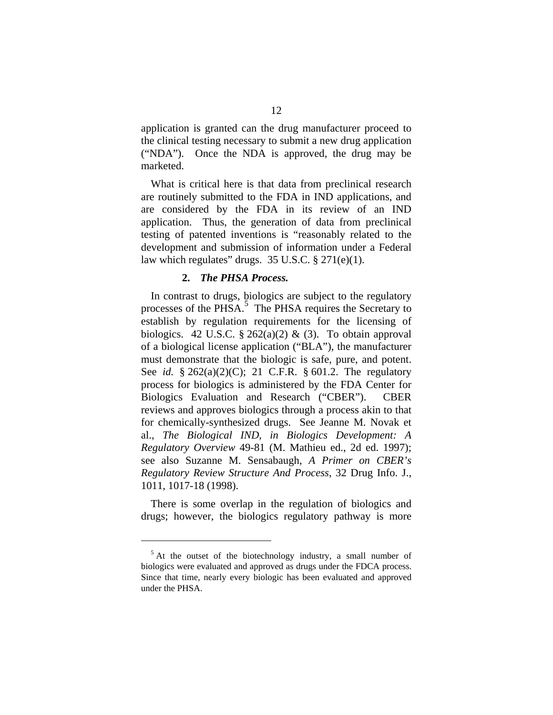application is granted can the drug manufacturer proceed to the clinical testing necessary to submit a new drug application ("NDA"). Once the NDA is approved, the drug may be marketed.

What is critical here is that data from preclinical research are routinely submitted to the FDA in IND applications, and are considered by the FDA in its review of an IND application. Thus, the generation of data from preclinical testing of patented inventions is "reasonably related to the development and submission of information under a Federal law which regulates" drugs.  $35 \text{ U.S.C.} \$   $271(e)(1)$ .

#### **2.** *The PHSA Process.*

In contrast to drugs, biologics are subject to the regulatory processes of the PHSA.<sup>5</sup> The PHSA requires the Secretary to establish by regulation requirements for the licensing of biologics. 42 U.S.C. § 262(a)(2) & (3). To obtain approval of a biological license application ("BLA"), the manufacturer must demonstrate that the biologic is safe, pure, and potent. See *id.* § 262(a)(2)(C); 21 C.F.R. § 601.2. The regulatory process for biologics is administered by the FDA Center for Biologics Evaluation and Research ("CBER"). CBER reviews and approves biologics through a process akin to that for chemically-synthesized drugs. See Jeanne M. Novak et al., *The Biological IND*, *in Biologics Development: A Regulatory Overview* 49-81 (M. Mathieu ed., 2d ed. 1997); see also Suzanne M. Sensabaugh, *A Primer on CBER's Regulatory Review Structure And Process*, 32 Drug Info. J., 1011, 1017-18 (1998).

There is some overlap in the regulation of biologics and drugs; however, the biologics regulatory pathway is more

<sup>&</sup>lt;sup>5</sup> At the outset of the biotechnology industry, a small number of biologics were evaluated and approved as drugs under the FDCA process. Since that time, nearly every biologic has been evaluated and approved under the PHSA.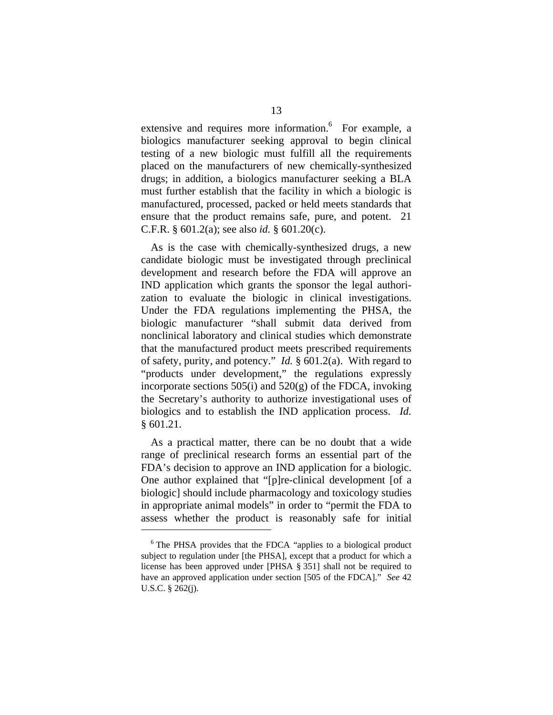extensive and requires more information.<sup>6</sup> For example, a biologics manufacturer seeking approval to begin clinical testing of a new biologic must fulfill all the requirements placed on the manufacturers of new chemically-synthesized drugs; in addition, a biologics manufacturer seeking a BLA must further establish that the facility in which a biologic is manufactured, processed, packed or held meets standards that ensure that the product remains safe, pure, and potent. 21 C.F.R. § 601.2(a); see also *id.* § 601.20(c).

As is the case with chemically-synthesized drugs, a new candidate biologic must be investigated through preclinical development and research before the FDA will approve an IND application which grants the sponsor the legal authorization to evaluate the biologic in clinical investigations. Under the FDA regulations implementing the PHSA, the biologic manufacturer "shall submit data derived from nonclinical laboratory and clinical studies which demonstrate that the manufactured product meets prescribed requirements of safety, purity, and potency." *Id.* § 601.2(a). With regard to "products under development," the regulations expressly incorporate sections  $505(i)$  and  $520(g)$  of the FDCA, invoking the Secretary's authority to authorize investigational uses of biologics and to establish the IND application process. *Id.* § 601.21.

As a practical matter, there can be no doubt that a wide range of preclinical research forms an essential part of the FDA's decision to approve an IND application for a biologic. One author explained that "[p]re-clinical development [of a biologic] should include pharmacology and toxicology studies in appropriate animal models" in order to "permit the FDA to assess whether the product is reasonably safe for initial  $\overline{a}$ 

<sup>&</sup>lt;sup>6</sup> The PHSA provides that the FDCA "applies to a biological product subject to regulation under [the PHSA], except that a product for which a license has been approved under [PHSA § 351] shall not be required to have an approved application under section [505 of the FDCA]." *See* 42 U.S.C. § 262(j).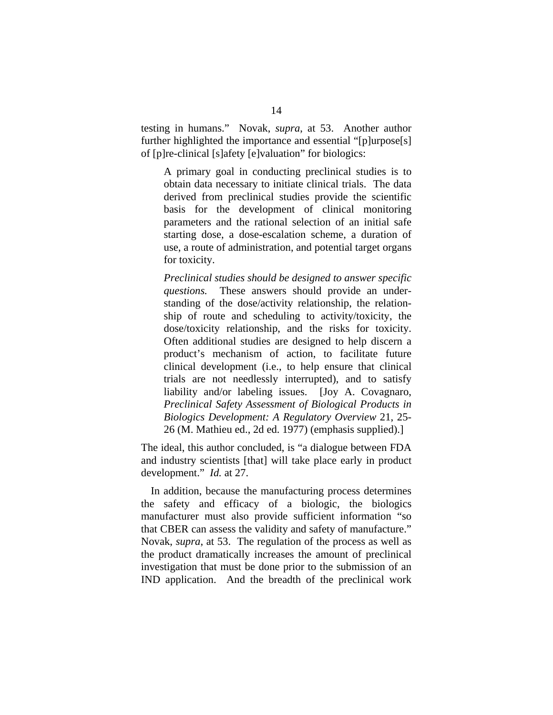testing in humans." Novak, *supra*, at 53. Another author further highlighted the importance and essential "[p]urpose[s] of [p]re-clinical [s]afety [e]valuation" for biologics:

A primary goal in conducting preclinical studies is to obtain data necessary to initiate clinical trials. The data derived from preclinical studies provide the scientific basis for the development of clinical monitoring parameters and the rational selection of an initial safe starting dose, a dose-escalation scheme, a duration of use, a route of administration, and potential target organs for toxicity.

*Preclinical studies should be designed to answer specific questions.* These answers should provide an understanding of the dose/activity relationship, the relationship of route and scheduling to activity/toxicity, the dose/toxicity relationship, and the risks for toxicity. Often additional studies are designed to help discern a product's mechanism of action, to facilitate future clinical development (i.e., to help ensure that clinical trials are not needlessly interrupted), and to satisfy liability and/or labeling issues. [Joy A. Covagnaro, *Preclinical Safety Assessment of Biological Products in Biologics Development: A Regulatory Overview* 21, 25- 26 (M. Mathieu ed., 2d ed. 1977) (emphasis supplied).]

The ideal, this author concluded, is "a dialogue between FDA and industry scientists [that] will take place early in product development." *Id.* at 27.

In addition, because the manufacturing process determines the safety and efficacy of a biologic, the biologics manufacturer must also provide sufficient information "so that CBER can assess the validity and safety of manufacture." Novak, *supra*, at 53. The regulation of the process as well as the product dramatically increases the amount of preclinical investigation that must be done prior to the submission of an IND application. And the breadth of the preclinical work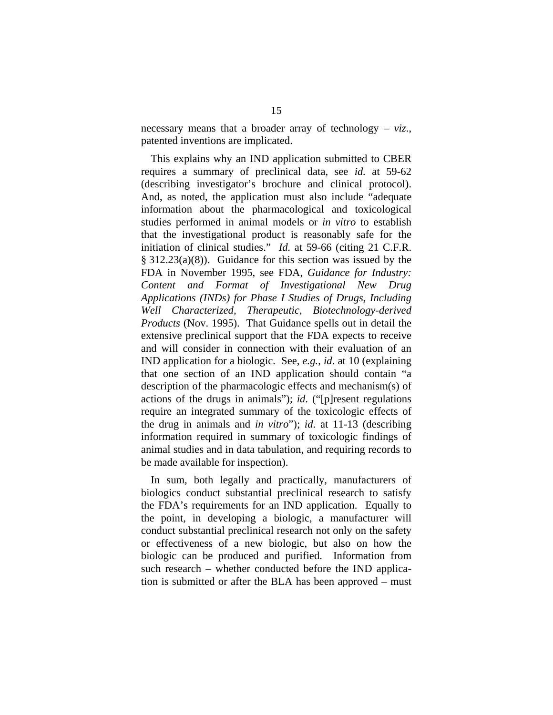necessary means that a broader array of technology – *viz*., patented inventions are implicated.

This explains why an IND application submitted to CBER requires a summary of preclinical data, see *id.* at 59-62 (describing investigator's brochure and clinical protocol). And, as noted, the application must also include "adequate information about the pharmacological and toxicological studies performed in animal models or *in vitro* to establish that the investigational product is reasonably safe for the initiation of clinical studies." *Id.* at 59-66 (citing 21 C.F.R. § 312.23(a)(8)). Guidance for this section was issued by the FDA in November 1995, see FDA, *Guidance for Industry: Content and Format of Investigational New Drug Applications (INDs) for Phase I Studies of Drugs, Including Well Characterized, Therapeutic, Biotechnology-derived Products* (Nov. 1995). That Guidance spells out in detail the extensive preclinical support that the FDA expects to receive and will consider in connection with their evaluation of an IND application for a biologic. See, *e.g.*, *id*. at 10 (explaining that one section of an IND application should contain "a description of the pharmacologic effects and mechanism(s) of actions of the drugs in animals"); *id*. ("[p]resent regulations require an integrated summary of the toxicologic effects of the drug in animals and *in vitro*"); *id*. at 11-13 (describing information required in summary of toxicologic findings of animal studies and in data tabulation, and requiring records to be made available for inspection).

In sum, both legally and practically, manufacturers of biologics conduct substantial preclinical research to satisfy the FDA's requirements for an IND application. Equally to the point, in developing a biologic, a manufacturer will conduct substantial preclinical research not only on the safety or effectiveness of a new biologic, but also on how the biologic can be produced and purified. Information from such research – whether conducted before the IND application is submitted or after the BLA has been approved – must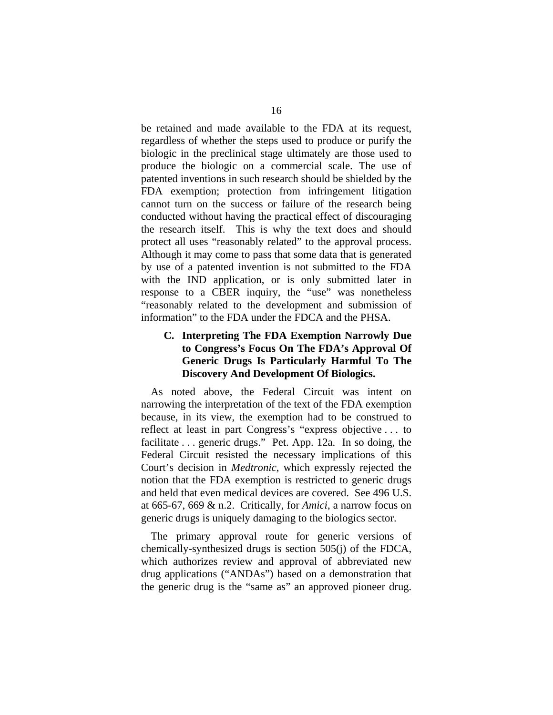be retained and made available to the FDA at its request, regardless of whether the steps used to produce or purify the biologic in the preclinical stage ultimately are those used to produce the biologic on a commercial scale. The use of patented inventions in such research should be shielded by the FDA exemption; protection from infringement litigation cannot turn on the success or failure of the research being conducted without having the practical effect of discouraging the research itself. This is why the text does and should protect all uses "reasonably related" to the approval process. Although it may come to pass that some data that is generated by use of a patented invention is not submitted to the FDA with the IND application, or is only submitted later in response to a CBER inquiry, the "use" was nonetheless "reasonably related to the development and submission of information" to the FDA under the FDCA and the PHSA.

## **C. Interpreting The FDA Exemption Narrowly Due to Congress's Focus On The FDA's Approval Of Generic Drugs Is Particularly Harmful To The Discovery And Development Of Biologics.**

As noted above, the Federal Circuit was intent on narrowing the interpretation of the text of the FDA exemption because, in its view, the exemption had to be construed to reflect at least in part Congress's "express objective . . . to facilitate . . . generic drugs." Pet. App. 12a. In so doing, the Federal Circuit resisted the necessary implications of this Court's decision in *Medtronic*, which expressly rejected the notion that the FDA exemption is restricted to generic drugs and held that even medical devices are covered. See 496 U.S. at 665-67, 669 & n.2. Critically, for *Amici*, a narrow focus on generic drugs is uniquely damaging to the biologics sector.

The primary approval route for generic versions of chemically-synthesized drugs is section 505(j) of the FDCA, which authorizes review and approval of abbreviated new drug applications ("ANDAs") based on a demonstration that the generic drug is the "same as" an approved pioneer drug.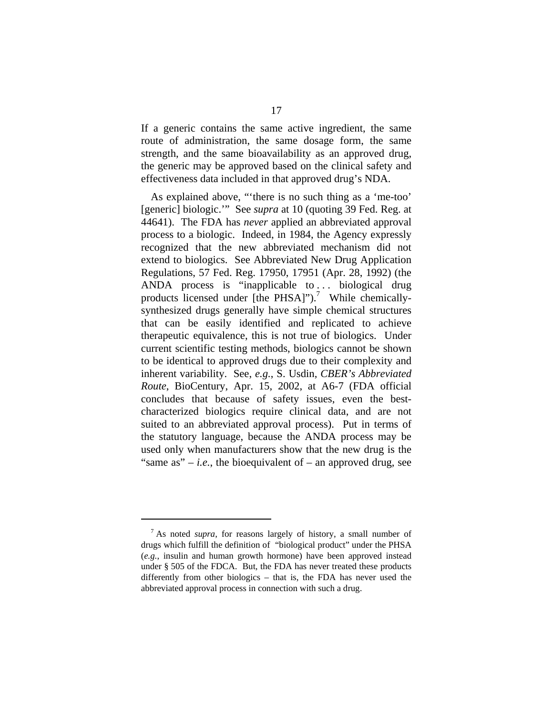If a generic contains the same active ingredient, the same route of administration, the same dosage form, the same strength, and the same bioavailability as an approved drug, the generic may be approved based on the clinical safety and effectiveness data included in that approved drug's NDA.

As explained above, "'there is no such thing as a 'me-too' [generic] biologic.'" See *supra* at 10 (quoting 39 Fed. Reg. at 44641). The FDA has *never* applied an abbreviated approval process to a biologic. Indeed, in 1984, the Agency expressly recognized that the new abbreviated mechanism did not extend to biologics. See Abbreviated New Drug Application Regulations, 57 Fed. Reg. 17950, 17951 (Apr. 28, 1992) (the ANDA process is "inapplicable to... biological drug products licensed under [the PHSA]").<sup>7</sup> While chemicallysynthesized drugs generally have simple chemical structures that can be easily identified and replicated to achieve therapeutic equivalence, this is not true of biologics. Under current scientific testing methods, biologics cannot be shown to be identical to approved drugs due to their complexity and inherent variability. See, *e.g.*, S. Usdin, *CBER's Abbreviated Route*, BioCentury, Apr. 15, 2002, at A6-7 (FDA official concludes that because of safety issues, even the bestcharacterized biologics require clinical data, and are not suited to an abbreviated approval process). Put in terms of the statutory language, because the ANDA process may be used only when manufacturers show that the new drug is the "same as"  $-i.e.,$  the bioequivalent of  $-$  an approved drug, see

<sup>7</sup> As noted *supra*, for reasons largely of history, a small number of drugs which fulfill the definition of "biological product" under the PHSA (*e.g.*, insulin and human growth hormone) have been approved instead under § 505 of the FDCA. But, the FDA has never treated these products differently from other biologics – that is, the FDA has never used the abbreviated approval process in connection with such a drug.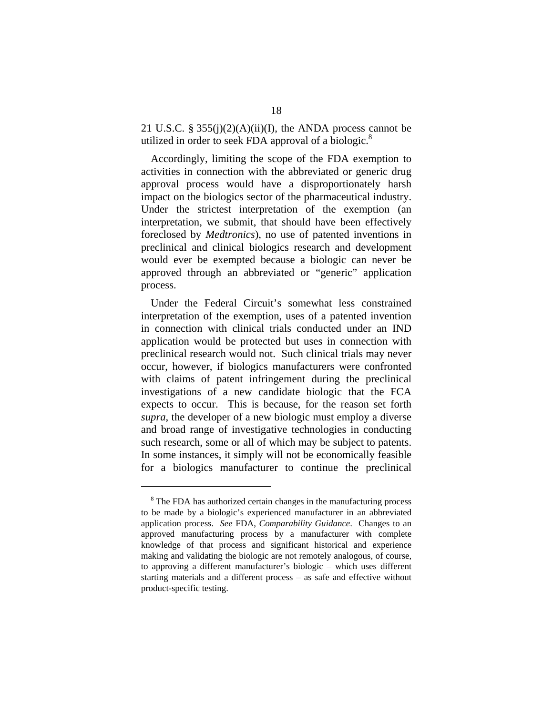21 U.S.C. §  $355(j)(2)(A)(ii)(I)$ , the ANDA process cannot be utilized in order to seek FDA approval of a biologic. $8$ 

Accordingly, limiting the scope of the FDA exemption to activities in connection with the abbreviated or generic drug approval process would have a disproportionately harsh impact on the biologics sector of the pharmaceutical industry. Under the strictest interpretation of the exemption (an interpretation, we submit, that should have been effectively foreclosed by *Medtronics*), no use of patented inventions in preclinical and clinical biologics research and development would ever be exempted because a biologic can never be approved through an abbreviated or "generic" application process.

Under the Federal Circuit's somewhat less constrained interpretation of the exemption, uses of a patented invention in connection with clinical trials conducted under an IND application would be protected but uses in connection with preclinical research would not. Such clinical trials may never occur, however, if biologics manufacturers were confronted with claims of patent infringement during the preclinical investigations of a new candidate biologic that the FCA expects to occur. This is because, for the reason set forth *supra*, the developer of a new biologic must employ a diverse and broad range of investigative technologies in conducting such research, some or all of which may be subject to patents. In some instances, it simply will not be economically feasible for a biologics manufacturer to continue the preclinical

<sup>&</sup>lt;sup>8</sup> The FDA has authorized certain changes in the manufacturing process to be made by a biologic's experienced manufacturer in an abbreviated application process. *See* FDA, *Comparability Guidance*. Changes to an approved manufacturing process by a manufacturer with complete knowledge of that process and significant historical and experience making and validating the biologic are not remotely analogous, of course, to approving a different manufacturer's biologic – which uses different starting materials and a different process – as safe and effective without product-specific testing.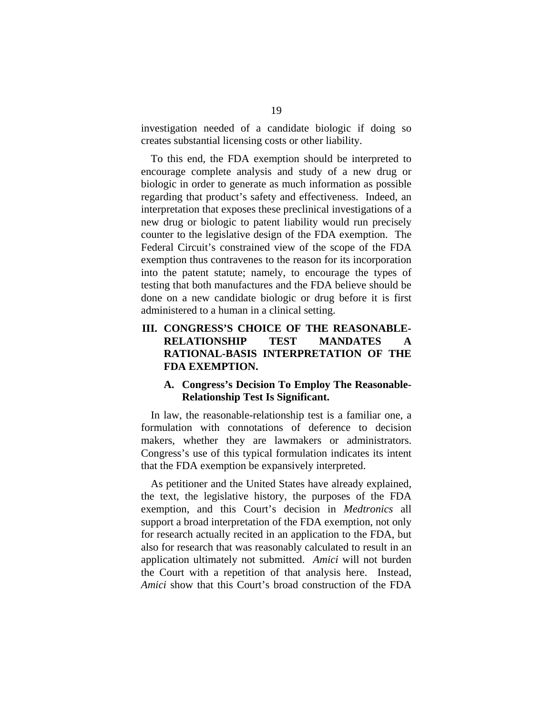investigation needed of a candidate biologic if doing so creates substantial licensing costs or other liability.

To this end, the FDA exemption should be interpreted to encourage complete analysis and study of a new drug or biologic in order to generate as much information as possible regarding that product's safety and effectiveness. Indeed, an interpretation that exposes these preclinical investigations of a new drug or biologic to patent liability would run precisely counter to the legislative design of the FDA exemption. The Federal Circuit's constrained view of the scope of the FDA exemption thus contravenes to the reason for its incorporation into the patent statute; namely, to encourage the types of testing that both manufactures and the FDA believe should be done on a new candidate biologic or drug before it is first administered to a human in a clinical setting.

# **III. CONGRESS'S CHOICE OF THE REASONABLE-RELATIONSHIP TEST MANDATES A RATIONAL-BASIS INTERPRETATION OF THE FDA EXEMPTION.**

## **A. Congress's Decision To Employ The Reasonable-Relationship Test Is Significant.**

In law, the reasonable-relationship test is a familiar one, a formulation with connotations of deference to decision makers, whether they are lawmakers or administrators. Congress's use of this typical formulation indicates its intent that the FDA exemption be expansively interpreted.

As petitioner and the United States have already explained, the text, the legislative history, the purposes of the FDA exemption, and this Court's decision in *Medtronics* all support a broad interpretation of the FDA exemption, not only for research actually recited in an application to the FDA, but also for research that was reasonably calculated to result in an application ultimately not submitted. *Amici* will not burden the Court with a repetition of that analysis here. Instead, *Amici* show that this Court's broad construction of the FDA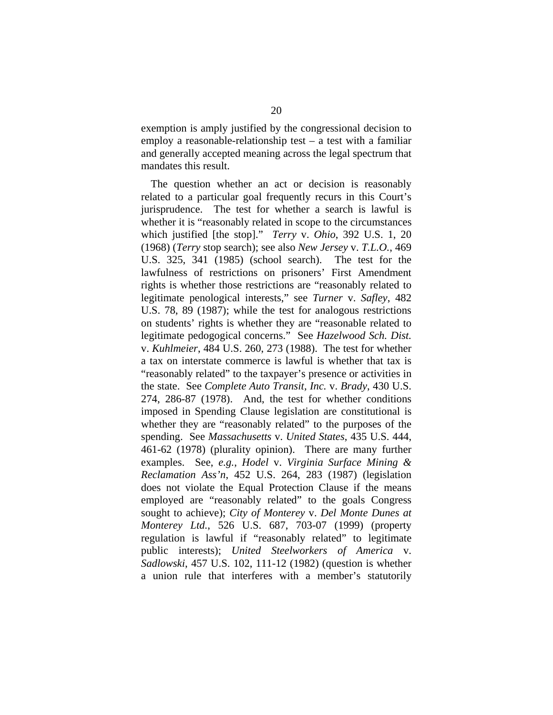exemption is amply justified by the congressional decision to employ a reasonable-relationship test  $-$  a test with a familiar and generally accepted meaning across the legal spectrum that mandates this result.

The question whether an act or decision is reasonably related to a particular goal frequently recurs in this Court's jurisprudence. The test for whether a search is lawful is whether it is "reasonably related in scope to the circumstances which justified [the stop]." *Terry* v. *Ohio*, 392 U.S. 1, 20 (1968) (*Terry* stop search); see also *New Jersey* v. *T.L.O.*, 469 U.S. 325, 341 (1985) (school search). The test for the lawfulness of restrictions on prisoners' First Amendment rights is whether those restrictions are "reasonably related to legitimate penological interests," see *Turner* v. *Safley*, 482 U.S. 78, 89 (1987); while the test for analogous restrictions on students' rights is whether they are "reasonable related to legitimate pedogogical concerns." See *Hazelwood Sch. Dist.*  v. *Kuhlmeier*, 484 U.S. 260, 273 (1988). The test for whether a tax on interstate commerce is lawful is whether that tax is "reasonably related" to the taxpayer's presence or activities in the state. See *Complete Auto Transit, Inc.* v. *Brady*, 430 U.S. 274, 286-87 (1978). And, the test for whether conditions imposed in Spending Clause legislation are constitutional is whether they are "reasonably related" to the purposes of the spending. See *Massachusetts* v. *United States*, 435 U.S. 444, 461-62 (1978) (plurality opinion). There are many further examples. See, *e.g.*, *Hodel* v. *Virginia Surface Mining & Reclamation Ass'n*, 452 U.S. 264, 283 (1987) (legislation does not violate the Equal Protection Clause if the means employed are "reasonably related" to the goals Congress sought to achieve); *City of Monterey* v. *Del Monte Dunes at Monterey Ltd.*, 526 U.S. 687, 703-07 (1999) (property regulation is lawful if "reasonably related" to legitimate public interests); *United Steelworkers of America* v. *Sadlowski*, 457 U.S. 102, 111-12 (1982) (question is whether a union rule that interferes with a member's statutorily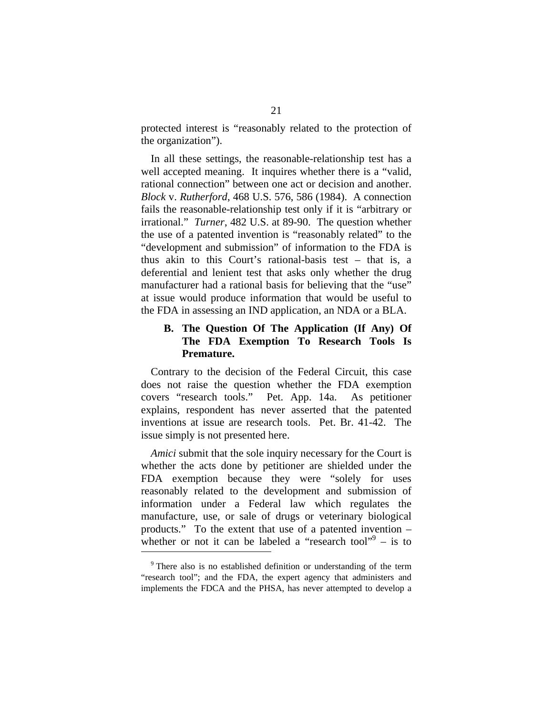protected interest is "reasonably related to the protection of the organization").

In all these settings, the reasonable-relationship test has a well accepted meaning. It inquires whether there is a "valid, rational connection" between one act or decision and another. *Block* v. *Rutherford*, 468 U.S. 576, 586 (1984). A connection fails the reasonable-relationship test only if it is "arbitrary or irrational." *Turner*, 482 U.S. at 89-90. The question whether the use of a patented invention is "reasonably related" to the "development and submission" of information to the FDA is thus akin to this Court's rational-basis test – that is, a deferential and lenient test that asks only whether the drug manufacturer had a rational basis for believing that the "use" at issue would produce information that would be useful to the FDA in assessing an IND application, an NDA or a BLA.

## **B. The Question Of The Application (If Any) Of The FDA Exemption To Research Tools Is Premature.**

Contrary to the decision of the Federal Circuit, this case does not raise the question whether the FDA exemption covers "research tools." Pet. App. 14a. As petitioner explains, respondent has never asserted that the patented inventions at issue are research tools. Pet. Br. 41-42. The issue simply is not presented here.

*Amici* submit that the sole inquiry necessary for the Court is whether the acts done by petitioner are shielded under the FDA exemption because they were "solely for uses reasonably related to the development and submission of information under a Federal law which regulates the manufacture, use, or sale of drugs or veterinary biological products." To the extent that use of a patented invention – whether or not it can be labeled a "research tool" $9 -$  is to

<sup>&</sup>lt;sup>9</sup> There also is no established definition or understanding of the term "research tool"; and the FDA, the expert agency that administers and implements the FDCA and the PHSA, has never attempted to develop a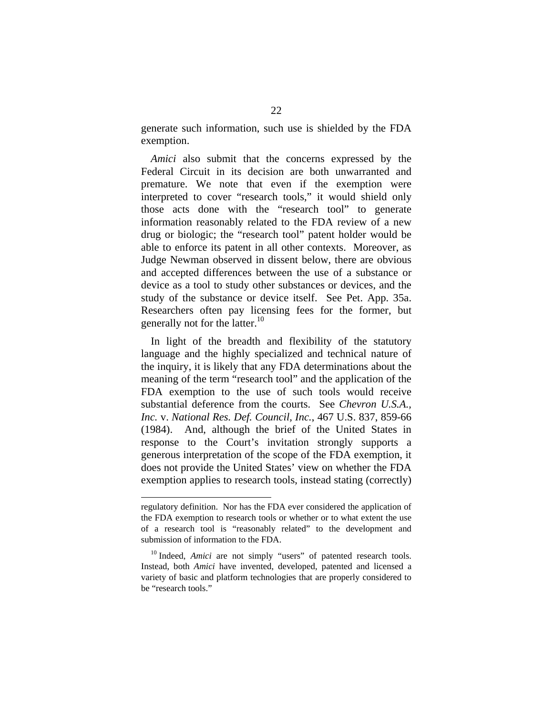generate such information, such use is shielded by the FDA exemption.

*Amici* also submit that the concerns expressed by the Federal Circuit in its decision are both unwarranted and premature. We note that even if the exemption were interpreted to cover "research tools," it would shield only those acts done with the "research tool" to generate information reasonably related to the FDA review of a new drug or biologic; the "research tool" patent holder would be able to enforce its patent in all other contexts. Moreover, as Judge Newman observed in dissent below, there are obvious and accepted differences between the use of a substance or device as a tool to study other substances or devices, and the study of the substance or device itself. See Pet. App. 35a. Researchers often pay licensing fees for the former, but generally not for the latter. $^{10}$ 

In light of the breadth and flexibility of the statutory language and the highly specialized and technical nature of the inquiry, it is likely that any FDA determinations about the meaning of the term "research tool" and the application of the FDA exemption to the use of such tools would receive substantial deference from the courts. See *Chevron U.S.A., Inc.* v. *National Res. Def. Council, Inc.*, 467 U.S. 837, 859-66 (1984). And, although the brief of the United States in response to the Court's invitation strongly supports a generous interpretation of the scope of the FDA exemption, it does not provide the United States' view on whether the FDA exemption applies to research tools, instead stating (correctly)

regulatory definition. Nor has the FDA ever considered the application of the FDA exemption to research tools or whether or to what extent the use of a research tool is "reasonably related" to the development and submission of information to the FDA.

<sup>&</sup>lt;sup>10</sup> Indeed, *Amici* are not simply "users" of patented research tools. Instead, both *Amici* have invented, developed, patented and licensed a variety of basic and platform technologies that are properly considered to be "research tools."